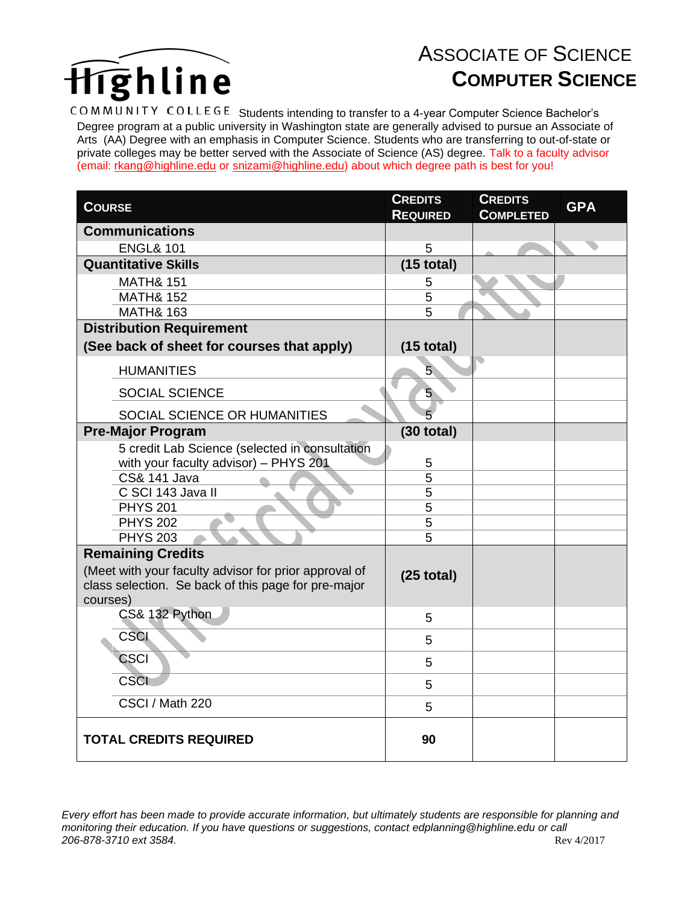

## ASSOCIATE OF SCIENCE **COMPUTER SCIENCE**

COMMUNITY COLLEGE Students intending to transfer to a 4-year Computer Science Bachelor's Degree program at a public university in Washington state are generally advised to pursue an Associate of Arts (AA) Degree with an emphasis in Computer Science. Students who are transferring to out-of-state or private colleges may be better served with the Associate of Science (AS) degree. Talk to a faculty advisor (email: [rkang@highline.edu](mailto:rkang@highline.edu) or [snizami@highline.edu\)](mailto:snizami@highline.edu) about which degree path is best for you!

| <b>COURSE</b>                                         | <b>CREDITS</b>  | <b>CREDITS</b>   | <b>GPA</b> |
|-------------------------------------------------------|-----------------|------------------|------------|
|                                                       | <b>REQUIRED</b> | <b>COMPLETED</b> |            |
| <b>Communications</b>                                 |                 |                  |            |
| <b>ENGL&amp; 101</b>                                  | 5               |                  |            |
| <b>Quantitative Skills</b>                            | $(15$ total)    |                  |            |
| <b>MATH&amp; 151</b>                                  | 5               |                  |            |
| <b>MATH&amp; 152</b>                                  | 5               |                  |            |
| <b>MATH&amp; 163</b>                                  | $\overline{5}$  |                  |            |
| <b>Distribution Requirement</b>                       |                 |                  |            |
| (See back of sheet for courses that apply)            | $(15$ total)    |                  |            |
| <b>HUMANITIES</b>                                     | 5 <sub>l</sub>  |                  |            |
| <b>SOCIAL SCIENCE</b>                                 | 5               |                  |            |
| SOCIAL SCIENCE OR HUMANITIES                          | 5               |                  |            |
| <b>Pre-Major Program</b>                              | $(30$ total)    |                  |            |
| 5 credit Lab Science (selected in consultation        |                 |                  |            |
| with your faculty advisor) - PHYS 201                 | 5               |                  |            |
| <b>CS&amp; 141 Java</b>                               | 5               |                  |            |
| C SCI 143 Java II                                     | 5               |                  |            |
| <b>PHYS 201</b>                                       | 5               |                  |            |
| <b>PHYS 202</b>                                       | 5               |                  |            |
| <b>PHYS 203</b>                                       | $\overline{5}$  |                  |            |
| <b>Remaining Credits</b>                              |                 |                  |            |
| (Meet with your faculty advisor for prior approval of | $(25$ total)    |                  |            |
| class selection. Se back of this page for pre-major   |                 |                  |            |
| courses)                                              |                 |                  |            |
| CS& 132 Python                                        | 5               |                  |            |
| <b>CSCI</b>                                           | 5               |                  |            |
| <b>CSCI</b>                                           | 5               |                  |            |
| <b>CSCI</b>                                           | 5               |                  |            |
| CSCI / Math 220                                       | 5               |                  |            |
| <b>TOTAL CREDITS REQUIRED</b>                         | 90              |                  |            |

*Every effort has been made to provide accurate information, but ultimately students are responsible for planning and monitoring their education. If you have questions or suggestions, contact edplanning@highline.edu or call 206-878-3710 ext 3584.* Rev 4/2017